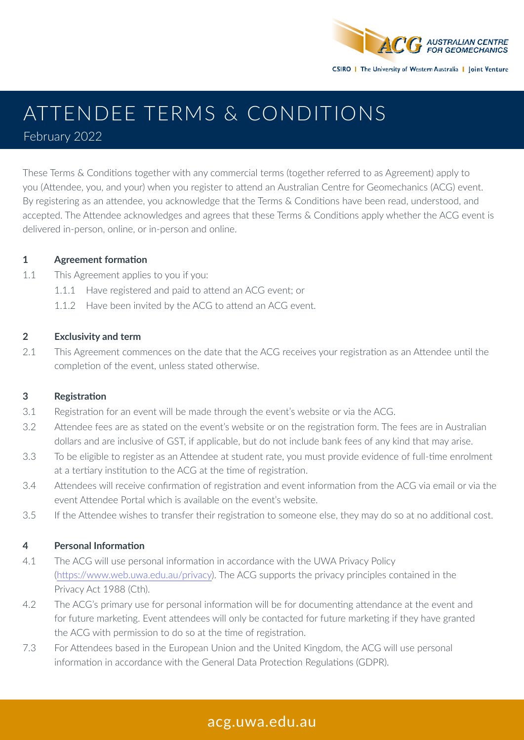

# ATTENDEE TERMS & CONDITIONS

February 2022

These Terms & Conditions together with any commercial terms (together referred to as Agreement) apply to you (Attendee, you, and your) when you register to attend an Australian Centre for Geomechanics (ACG) event. By registering as an attendee, you acknowledge that the Terms & Conditions have been read, understood, and accepted. The Attendee acknowledges and agrees that these Terms & Conditions apply whether the ACG event is delivered in-person, online, or in-person and online.

## **1 Agreement formation**

- 1.1 This Agreement applies to you if you:
	- 1.1.1 Have registered and paid to attend an ACG event; or
	- 1.1.2 Have been invited by the ACG to attend an ACG event.

## **2 Exclusivity and term**

2.1 This Agreement commences on the date that the ACG receives your registration as an Attendee until the completion of the event, unless stated otherwise.

## **3 Registration**

- 3.1 Registration for an event will be made through the event's website or via the ACG.
- 3.2 Attendee fees are as stated on the event's website or on the registration form. The fees are in Australian dollars and are inclusive of GST, if applicable, but do not include bank fees of any kind that may arise.
- 3.3 To be eligible to register as an Attendee at student rate, you must provide evidence of full-time enrolment at a tertiary institution to the ACG at the time of registration.
- 3.4 Attendees will receive confirmation of registration and event information from the ACG via email or via the event Attendee Portal which is available on the event's website.
- 3.5 If the Attendee wishes to transfer their registration to someone else, they may do so at no additional cost.

#### **4 Personal Information**

- 4.1 The ACG will use personal information in accordance with the UWA Privacy Policy (https://www.web.uwa.edu.au/privacy). The ACG supports the privacy principles contained in the Privacy Act 1988 (Cth).
- 4.2 The ACG's primary use for personal information will be for documenting attendance at the event and for future marketing. Event attendees will only be contacted for future marketing if they have granted the ACG with permission to do so at the time of registration.
- 7.3 For Attendees based in the European Union and the United Kingdom, the ACG will use personal information in accordance with the General Data Protection Regulations (GDPR).

# acg.uwa.edu.au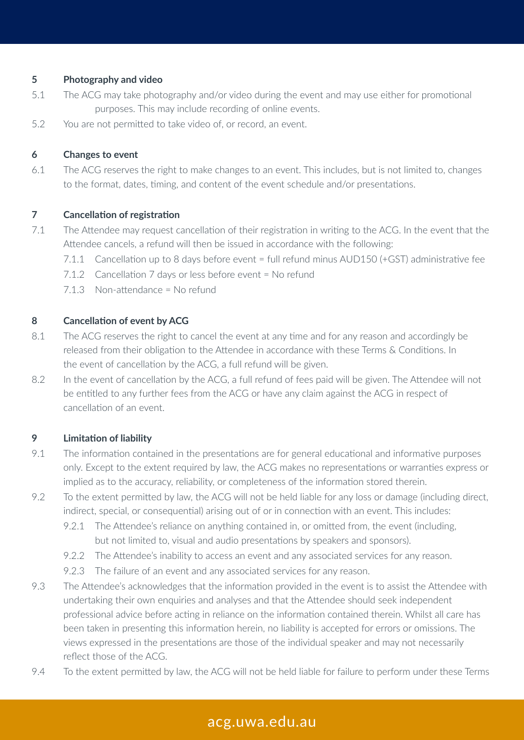#### **5 Photography and video**

- 5.1 The ACG may take photography and/or video during the event and may use either for promotional purposes. This may include recording of online events.
- 5.2 You are not permitted to take video of, or record, an event.

#### **6 Changes to event**

6.1 The ACG reserves the right to make changes to an event. This includes, but is not limited to, changes to the format, dates, timing, and content of the event schedule and/or presentations.

#### **7 Cancellation of registration**

- 7.1 The Attendee may request cancellation of their registration in writing to the ACG. In the event that the Attendee cancels, a refund will then be issued in accordance with the following:
	- 7.1.1 Cancellation up to 8 days before event = full refund minus AUD150 (+GST) administrative fee
	- 7.1.2 Cancellation 7 days or less before event = No refund
	- 7.1.3 Non-attendance = No refund

#### **8 Cancellation of event by ACG**

- 8.1 The ACG reserves the right to cancel the event at any time and for any reason and accordingly be released from their obligation to the Attendee in accordance with these Terms & Conditions. In the event of cancellation by the ACG, a full refund will be given.
- 8.2 In the event of cancellation by the ACG, a full refund of fees paid will be given. The Attendee will not be entitled to any further fees from the ACG or have any claim against the ACG in respect of cancellation of an event.

#### **9 Limitation of liability**

- 9.1 The information contained in the presentations are for general educational and informative purposes only. Except to the extent required by law, the ACG makes no representations or warranties express or implied as to the accuracy, reliability, or completeness of the information stored therein.
- 9.2 To the extent permitted by law, the ACG will not be held liable for any loss or damage (including direct, indirect, special, or consequential) arising out of or in connection with an event. This includes:
	- 9.2.1 The Attendee's reliance on anything contained in, or omitted from, the event (including, but not limited to, visual and audio presentations by speakers and sponsors).
	- 9.2.2 The Attendee's inability to access an event and any associated services for any reason.
	- 9.2.3 The failure of an event and any associated services for any reason.
- 9.3 The Attendee's acknowledges that the information provided in the event is to assist the Attendee with undertaking their own enquiries and analyses and that the Attendee should seek independent professional advice before acting in reliance on the information contained therein. Whilst all care has been taken in presenting this information herein, no liability is accepted for errors or omissions. The views expressed in the presentations are those of the individual speaker and may not necessarily reflect those of the ACG.
- 9.4 To the extent permitted by law, the ACG will not be held liable for failure to perform under these Terms

# acg.uwa.edu.au